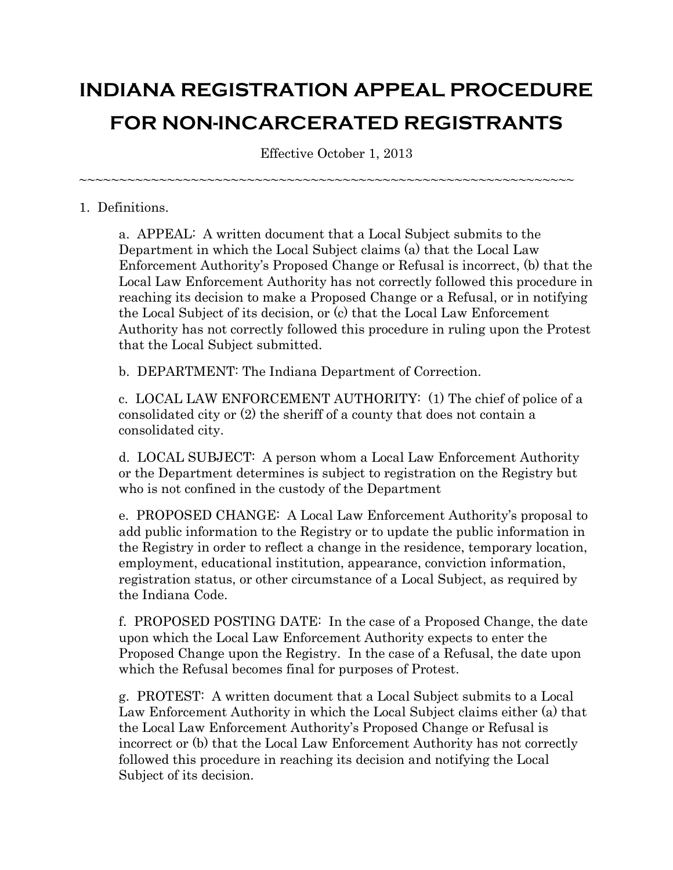# **INDIANA REGISTRATION APPEAL PROCEDURE FOR NON-INCARCERATED REGISTRANTS**

Effective October 1, 2013

~~~~~~~~~~~~~~~~~~~~~~~~~~~~~~~~~~~~~~~~~~~~~~~~~~~~~~~~~~~~~~

## 1. Definitions.

a. APPEAL: A written document that a Local Subject submits to the Department in which the Local Subject claims (a) that the Local Law Enforcement Authority's Proposed Change or Refusal is incorrect, (b) that the Local Law Enforcement Authority has not correctly followed this procedure in reaching its decision to make a Proposed Change or a Refusal, or in notifying the Local Subject of its decision, or (c) that the Local Law Enforcement Authority has not correctly followed this procedure in ruling upon the Protest that the Local Subject submitted.

b. DEPARTMENT: The Indiana Department of Correction.

c. LOCAL LAW ENFORCEMENT AUTHORITY: (1) The chief of police of a consolidated city or (2) the sheriff of a county that does not contain a consolidated city.

d. LOCAL SUBJECT: A person whom a Local Law Enforcement Authority or the Department determines is subject to registration on the Registry but who is not confined in the custody of the Department

e. PROPOSED CHANGE: A Local Law Enforcement Authority's proposal to add public information to the Registry or to update the public information in the Registry in order to reflect a change in the residence, temporary location, employment, educational institution, appearance, conviction information, registration status, or other circumstance of a Local Subject, as required by the Indiana Code.

f. PROPOSED POSTING DATE: In the case of a Proposed Change, the date upon which the Local Law Enforcement Authority expects to enter the Proposed Change upon the Registry. In the case of a Refusal, the date upon which the Refusal becomes final for purposes of Protest.

g. PROTEST: A written document that a Local Subject submits to a Local Law Enforcement Authority in which the Local Subject claims either (a) that the Local Law Enforcement Authority's Proposed Change or Refusal is incorrect or (b) that the Local Law Enforcement Authority has not correctly followed this procedure in reaching its decision and notifying the Local Subject of its decision.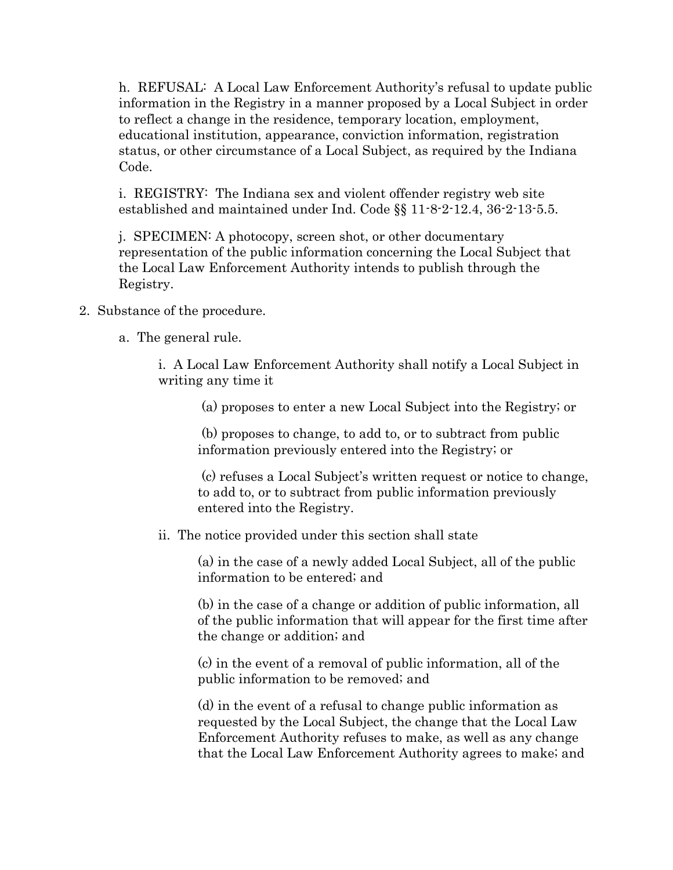h. REFUSAL: A Local Law Enforcement Authority's refusal to update public information in the Registry in a manner proposed by a Local Subject in order to reflect a change in the residence, temporary location, employment, educational institution, appearance, conviction information, registration status, or other circumstance of a Local Subject, as required by the Indiana Code.

i. REGISTRY: The Indiana sex and violent offender registry web site established and maintained under Ind. Code §§ 11-8-2-12.4, 36-2-13-5.5.

j. SPECIMEN: A photocopy, screen shot, or other documentary representation of the public information concerning the Local Subject that the Local Law Enforcement Authority intends to publish through the Registry.

# 2. Substance of the procedure.

a. The general rule.

i. A Local Law Enforcement Authority shall notify a Local Subject in writing any time it

(a) proposes to enter a new Local Subject into the Registry; or

(b) proposes to change, to add to, or to subtract from public information previously entered into the Registry; or

(c) refuses a Local Subject's written request or notice to change, to add to, or to subtract from public information previously entered into the Registry.

# ii. The notice provided under this section shall state

(a) in the case of a newly added Local Subject, all of the public information to be entered; and

(b) in the case of a change or addition of public information, all of the public information that will appear for the first time after the change or addition; and

(c) in the event of a removal of public information, all of the public information to be removed; and

(d) in the event of a refusal to change public information as requested by the Local Subject, the change that the Local Law Enforcement Authority refuses to make, as well as any change that the Local Law Enforcement Authority agrees to make; and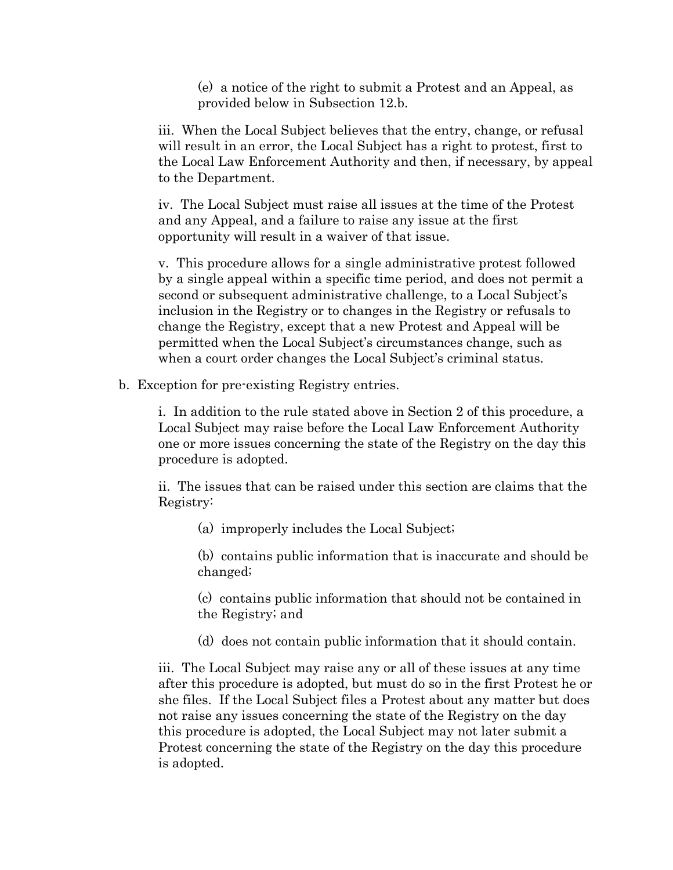(e) a notice of the right to submit a Protest and an Appeal, as provided below in Subsection 12.b.

iii. When the Local Subject believes that the entry, change, or refusal will result in an error, the Local Subject has a right to protest, first to the Local Law Enforcement Authority and then, if necessary, by appeal to the Department.

iv. The Local Subject must raise all issues at the time of the Protest and any Appeal, and a failure to raise any issue at the first opportunity will result in a waiver of that issue.

v. This procedure allows for a single administrative protest followed by a single appeal within a specific time period, and does not permit a second or subsequent administrative challenge, to a Local Subject's inclusion in the Registry or to changes in the Registry or refusals to change the Registry, except that a new Protest and Appeal will be permitted when the Local Subject's circumstances change, such as when a court order changes the Local Subject's criminal status.

b. Exception for pre-existing Registry entries.

i. In addition to the rule stated above in Section 2 of this procedure, a Local Subject may raise before the Local Law Enforcement Authority one or more issues concerning the state of the Registry on the day this procedure is adopted.

ii. The issues that can be raised under this section are claims that the Registry:

(a) improperly includes the Local Subject;

(b) contains public information that is inaccurate and should be changed;

(c) contains public information that should not be contained in the Registry; and

(d) does not contain public information that it should contain.

iii. The Local Subject may raise any or all of these issues at any time after this procedure is adopted, but must do so in the first Protest he or she files. If the Local Subject files a Protest about any matter but does not raise any issues concerning the state of the Registry on the day this procedure is adopted, the Local Subject may not later submit a Protest concerning the state of the Registry on the day this procedure is adopted.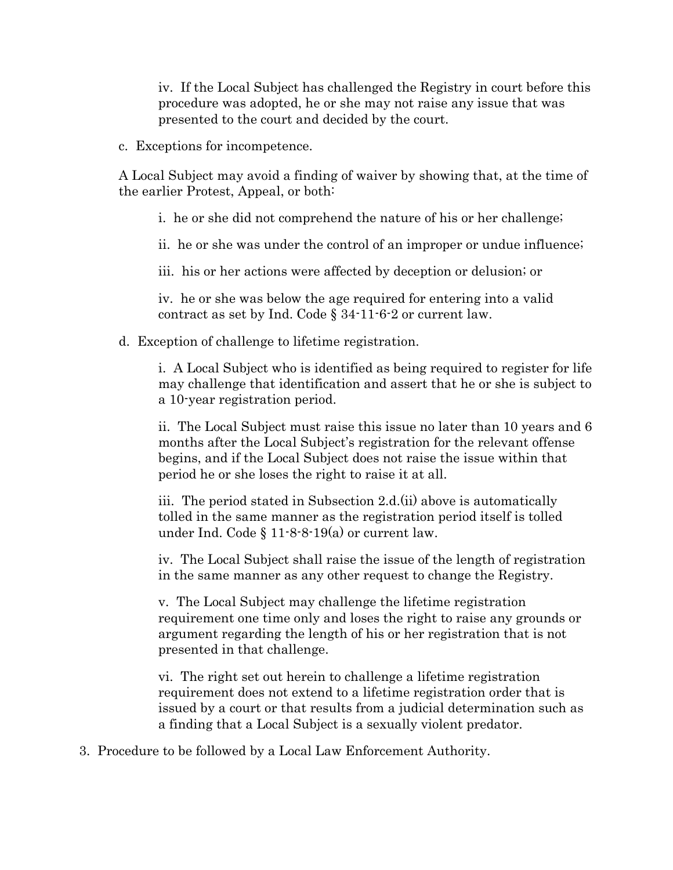iv. If the Local Subject has challenged the Registry in court before this procedure was adopted, he or she may not raise any issue that was presented to the court and decided by the court.

c. Exceptions for incompetence.

A Local Subject may avoid a finding of waiver by showing that, at the time of the earlier Protest, Appeal, or both:

- i. he or she did not comprehend the nature of his or her challenge;
- ii. he or she was under the control of an improper or undue influence;

iii. his or her actions were affected by deception or delusion; or

iv. he or she was below the age required for entering into a valid contract as set by Ind. Code § 34-11-6-2 or current law.

d. Exception of challenge to lifetime registration.

i. A Local Subject who is identified as being required to register for life may challenge that identification and assert that he or she is subject to a 10-year registration period.

ii. The Local Subject must raise this issue no later than 10 years and 6 months after the Local Subject's registration for the relevant offense begins, and if the Local Subject does not raise the issue within that period he or she loses the right to raise it at all.

iii. The period stated in Subsection 2.d.(ii) above is automatically tolled in the same manner as the registration period itself is tolled under Ind. Code § 11-8-8-19(a) or current law.

iv. The Local Subject shall raise the issue of the length of registration in the same manner as any other request to change the Registry.

v. The Local Subject may challenge the lifetime registration requirement one time only and loses the right to raise any grounds or argument regarding the length of his or her registration that is not presented in that challenge.

vi. The right set out herein to challenge a lifetime registration requirement does not extend to a lifetime registration order that is issued by a court or that results from a judicial determination such as a finding that a Local Subject is a sexually violent predator.

3. Procedure to be followed by a Local Law Enforcement Authority.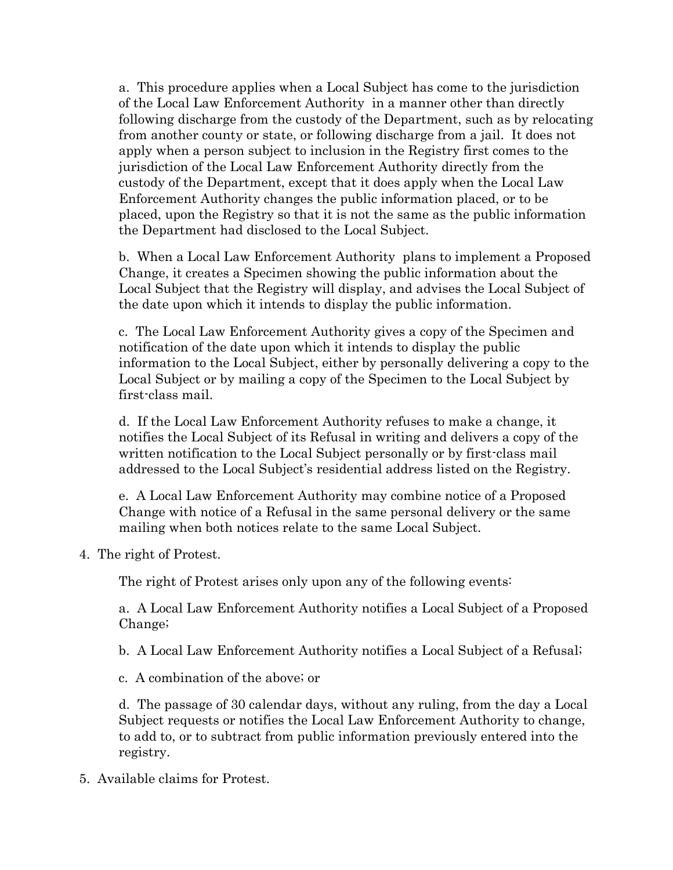a. This procedure applies when a Local Subject has come to the jurisdiction of the Local Law Enforcement Authority in a manner other than directly following discharge from the custody of the Department, such as by relocating from another county or state, or following discharge from a jail. It does not apply when a person subject to inclusion in the Registry first comes to the jurisdiction of the Local Law Enforcement Authority directly from the custody of the Department, except that it does apply when the Local Law Enforcement Authority changes the public information placed, or to be placed, upon the Registry so that it is not the same as the public information the Department had disclosed to the Local Subject.

b. When a Local Law Enforcement Authority plans to implement a Proposed Change, it creates a Specimen showing the public information about the Local Subject that the Registry will display, and advises the Local Subject of the date upon which it intends to display the public information.

c. The Local Law Enforcement Authority gives a copy of the Specimen and notification of the date upon which it intends to display the public information to the Local Subject, either by personally delivering a copy to the Local Subject or by mailing a copy of the Specimen to the Local Subject by first-class mail.

d. If the Local Law Enforcement Authority refuses to make a change, it notifies the Local Subject of its Refusal in writing and delivers a copy of the written notification to the Local Subject personally or by first-class mail addressed to the Local Subject's residential address listed on the Registry.

e. A Local Law Enforcement Authority may combine notice of a Proposed Change with notice of a Refusal in the same personal delivery or the same mailing when both notices relate to the same Local Subject.

4. The right of Protest.

The right of Protest arises only upon any of the following events:

a. A Local Law Enforcement Authority notifies a Local Subject of a Proposed Change;

b. A Local Law Enforcement Authority notifies a Local Subject of a Refusal;

c. A combination of the above; or

d. The passage of 30 calendar days, without any ruling, from the day a Local Subject requests or notifies the Local Law Enforcement Authority to change, to add to, or to subtract from public information previously entered into the registry.

5. Available claims for Protest.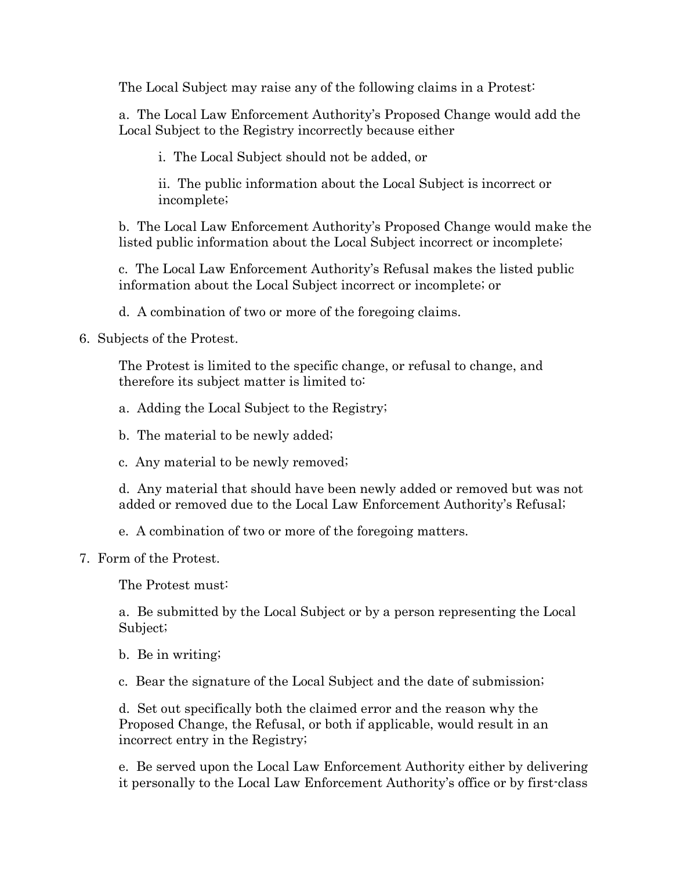The Local Subject may raise any of the following claims in a Protest:

a. The Local Law Enforcement Authority's Proposed Change would add the Local Subject to the Registry incorrectly because either

i. The Local Subject should not be added, or

ii. The public information about the Local Subject is incorrect or incomplete;

b. The Local Law Enforcement Authority's Proposed Change would make the listed public information about the Local Subject incorrect or incomplete;

c. The Local Law Enforcement Authority's Refusal makes the listed public information about the Local Subject incorrect or incomplete; or

d. A combination of two or more of the foregoing claims.

6. Subjects of the Protest.

The Protest is limited to the specific change, or refusal to change, and therefore its subject matter is limited to:

a. Adding the Local Subject to the Registry;

b. The material to be newly added;

c. Any material to be newly removed;

d. Any material that should have been newly added or removed but was not added or removed due to the Local Law Enforcement Authority's Refusal;

e. A combination of two or more of the foregoing matters.

7. Form of the Protest.

The Protest must:

a. Be submitted by the Local Subject or by a person representing the Local Subject;

b. Be in writing;

c. Bear the signature of the Local Subject and the date of submission;

d. Set out specifically both the claimed error and the reason why the Proposed Change, the Refusal, or both if applicable, would result in an incorrect entry in the Registry;

e. Be served upon the Local Law Enforcement Authority either by delivering it personally to the Local Law Enforcement Authority's office or by first-class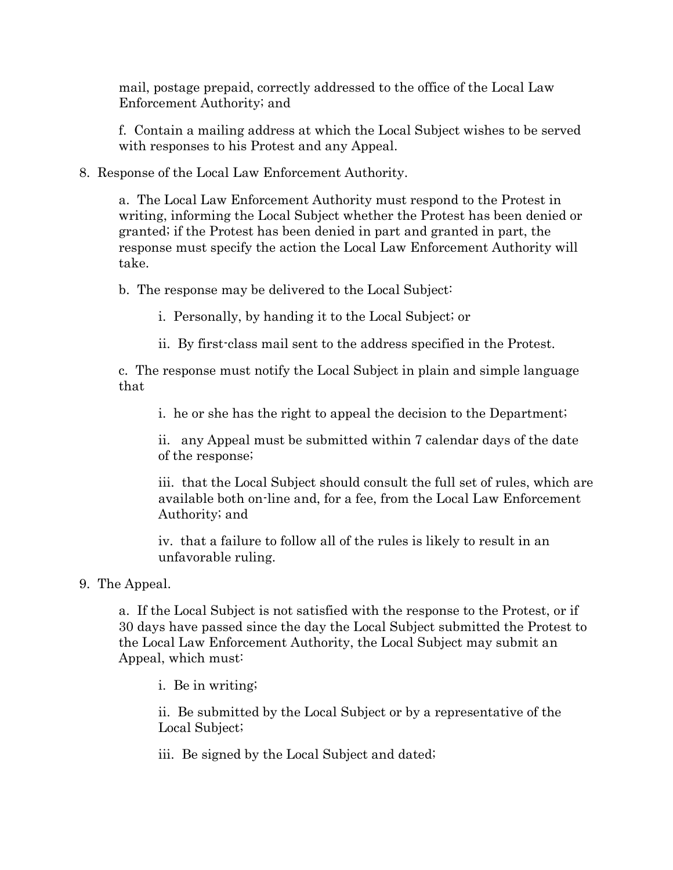mail, postage prepaid, correctly addressed to the office of the Local Law Enforcement Authority; and

f. Contain a mailing address at which the Local Subject wishes to be served with responses to his Protest and any Appeal.

8. Response of the Local Law Enforcement Authority.

a. The Local Law Enforcement Authority must respond to the Protest in writing, informing the Local Subject whether the Protest has been denied or granted; if the Protest has been denied in part and granted in part, the response must specify the action the Local Law Enforcement Authority will take.

b. The response may be delivered to the Local Subject:

i. Personally, by handing it to the Local Subject; or

ii. By first-class mail sent to the address specified in the Protest.

c. The response must notify the Local Subject in plain and simple language that

i. he or she has the right to appeal the decision to the Department;

ii. any Appeal must be submitted within 7 calendar days of the date of the response;

iii. that the Local Subject should consult the full set of rules, which are available both on-line and, for a fee, from the Local Law Enforcement Authority; and

iv. that a failure to follow all of the rules is likely to result in an unfavorable ruling.

# 9. The Appeal.

a. If the Local Subject is not satisfied with the response to the Protest, or if 30 days have passed since the day the Local Subject submitted the Protest to the Local Law Enforcement Authority, the Local Subject may submit an Appeal, which must:

i. Be in writing;

ii. Be submitted by the Local Subject or by a representative of the Local Subject;

iii. Be signed by the Local Subject and dated;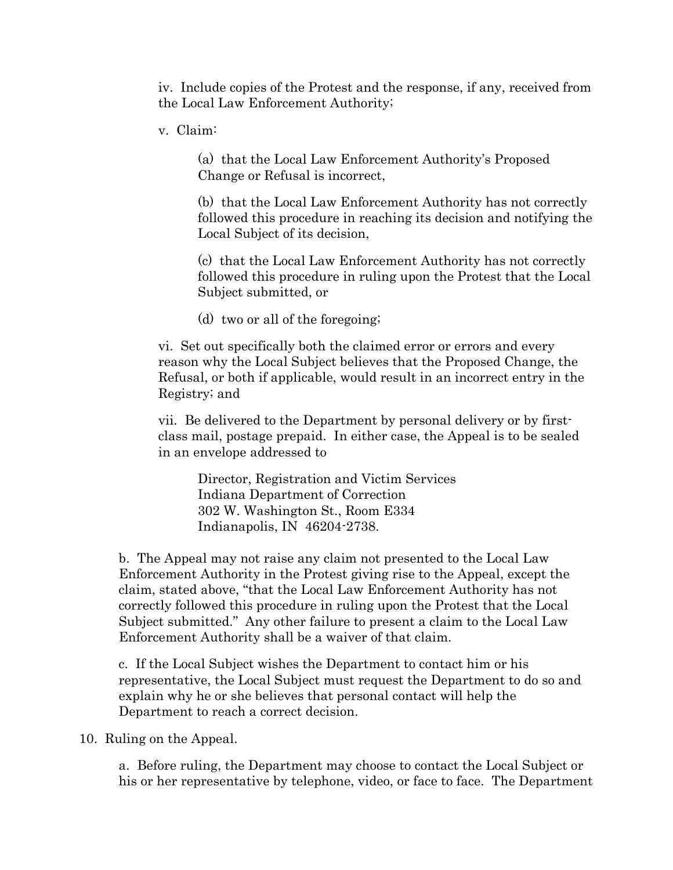iv. Include copies of the Protest and the response, if any, received from the Local Law Enforcement Authority;

v. Claim:

(a) that the Local Law Enforcement Authority's Proposed Change or Refusal is incorrect,

(b) that the Local Law Enforcement Authority has not correctly followed this procedure in reaching its decision and notifying the Local Subject of its decision,

(c) that the Local Law Enforcement Authority has not correctly followed this procedure in ruling upon the Protest that the Local Subject submitted, or

(d) two or all of the foregoing;

vi. Set out specifically both the claimed error or errors and every reason why the Local Subject believes that the Proposed Change, the Refusal, or both if applicable, would result in an incorrect entry in the Registry; and

vii. Be delivered to the Department by personal delivery or by firstclass mail, postage prepaid. In either case, the Appeal is to be sealed in an envelope addressed to

Director, Registration and Victim Services Indiana Department of Correction 302 W. Washington St., Room E334 Indianapolis, IN 46204-2738.

b. The Appeal may not raise any claim not presented to the Local Law Enforcement Authority in the Protest giving rise to the Appeal, except the claim, stated above, "that the Local Law Enforcement Authority has not correctly followed this procedure in ruling upon the Protest that the Local Subject submitted." Any other failure to present a claim to the Local Law Enforcement Authority shall be a waiver of that claim.

c. If the Local Subject wishes the Department to contact him or his representative, the Local Subject must request the Department to do so and explain why he or she believes that personal contact will help the Department to reach a correct decision.

10. Ruling on the Appeal.

a. Before ruling, the Department may choose to contact the Local Subject or his or her representative by telephone, video, or face to face. The Department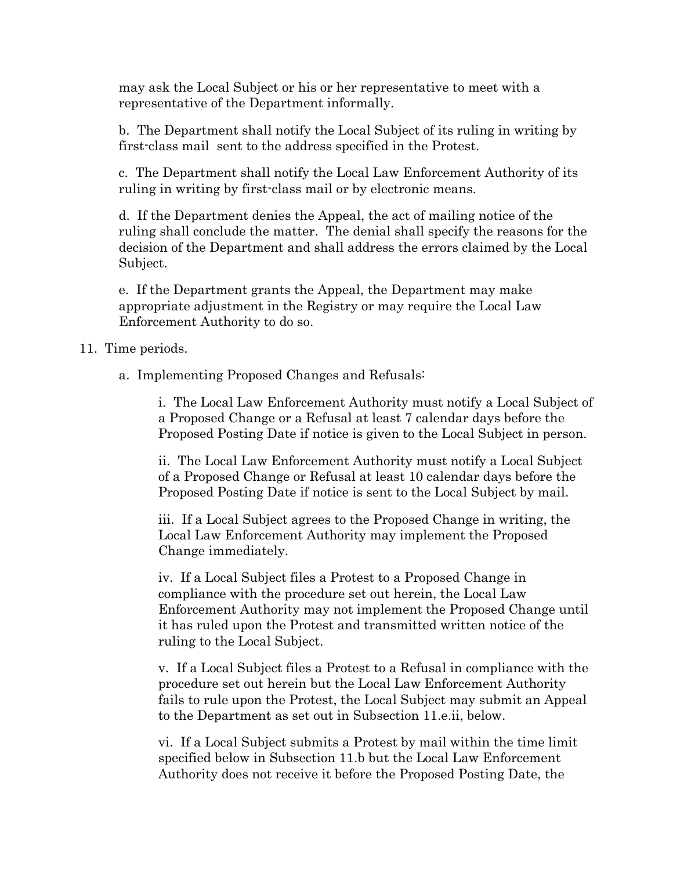may ask the Local Subject or his or her representative to meet with a representative of the Department informally.

b. The Department shall notify the Local Subject of its ruling in writing by first-class mail sent to the address specified in the Protest.

c. The Department shall notify the Local Law Enforcement Authority of its ruling in writing by first-class mail or by electronic means.

d. If the Department denies the Appeal, the act of mailing notice of the ruling shall conclude the matter. The denial shall specify the reasons for the decision of the Department and shall address the errors claimed by the Local Subject.

e. If the Department grants the Appeal, the Department may make appropriate adjustment in the Registry or may require the Local Law Enforcement Authority to do so.

### 11. Time periods.

a. Implementing Proposed Changes and Refusals:

i. The Local Law Enforcement Authority must notify a Local Subject of a Proposed Change or a Refusal at least 7 calendar days before the Proposed Posting Date if notice is given to the Local Subject in person.

ii. The Local Law Enforcement Authority must notify a Local Subject of a Proposed Change or Refusal at least 10 calendar days before the Proposed Posting Date if notice is sent to the Local Subject by mail.

iii. If a Local Subject agrees to the Proposed Change in writing, the Local Law Enforcement Authority may implement the Proposed Change immediately.

iv. If a Local Subject files a Protest to a Proposed Change in compliance with the procedure set out herein, the Local Law Enforcement Authority may not implement the Proposed Change until it has ruled upon the Protest and transmitted written notice of the ruling to the Local Subject.

v. If a Local Subject files a Protest to a Refusal in compliance with the procedure set out herein but the Local Law Enforcement Authority fails to rule upon the Protest, the Local Subject may submit an Appeal to the Department as set out in Subsection 11.e.ii, below.

vi. If a Local Subject submits a Protest by mail within the time limit specified below in Subsection 11.b but the Local Law Enforcement Authority does not receive it before the Proposed Posting Date, the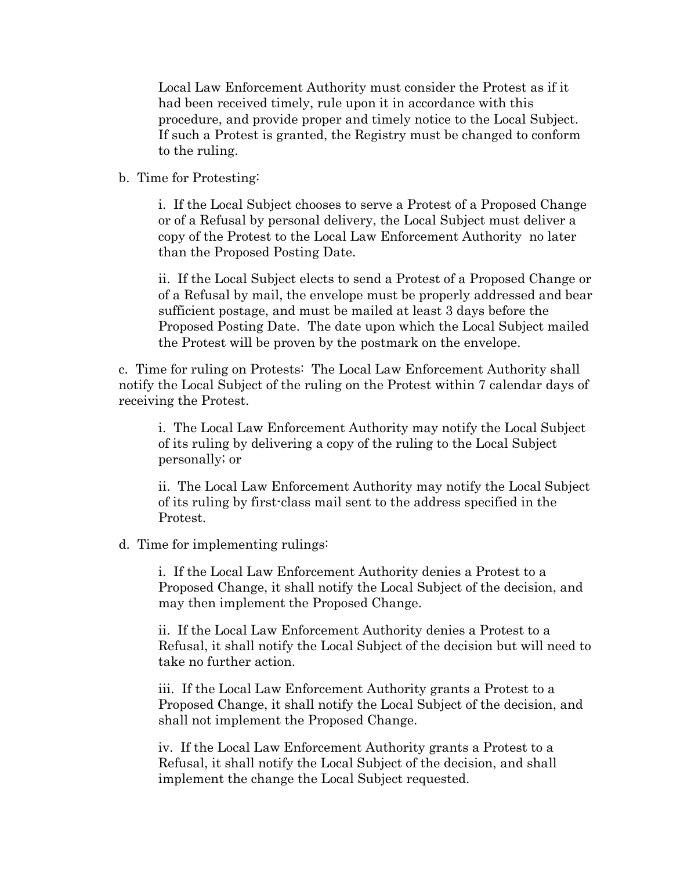Local Law Enforcement Authority must consider the Protest as if it had been received timely, rule upon it in accordance with this procedure, and provide proper and timely notice to the Local Subject. If such a Protest is granted, the Registry must be changed to conform to the ruling.

b. Time for Protesting:

i. If the Local Subject chooses to serve a Protest of a Proposed Change or of a Refusal by personal delivery, the Local Subject must deliver a copy of the Protest to the Local Law Enforcement Authority no later than the Proposed Posting Date.

ii. If the Local Subject elects to send a Protest of a Proposed Change or of a Refusal by mail, the envelope must be properly addressed and bear sufficient postage, and must be mailed at least 3 days before the Proposed Posting Date. The date upon which the Local Subject mailed the Protest will be proven by the postmark on the envelope.

c. Time for ruling on Protests: The Local Law Enforcement Authority shall notify the Local Subject of the ruling on the Protest within 7 calendar days of receiving the Protest.

i. The Local Law Enforcement Authority may notify the Local Subject of its ruling by delivering a copy of the ruling to the Local Subject personally; or

ii. The Local Law Enforcement Authority may notify the Local Subject of its ruling by first-class mail sent to the address specified in the Protest.

d. Time for implementing rulings:

i. If the Local Law Enforcement Authority denies a Protest to a Proposed Change, it shall notify the Local Subject of the decision, and may then implement the Proposed Change.

ii. If the Local Law Enforcement Authority denies a Protest to a Refusal, it shall notify the Local Subject of the decision but will need to take no further action.

iii. If the Local Law Enforcement Authority grants a Protest to a Proposed Change, it shall notify the Local Subject of the decision, and shall not implement the Proposed Change.

iv. If the Local Law Enforcement Authority grants a Protest to a Refusal, it shall notify the Local Subject of the decision, and shall implement the change the Local Subject requested.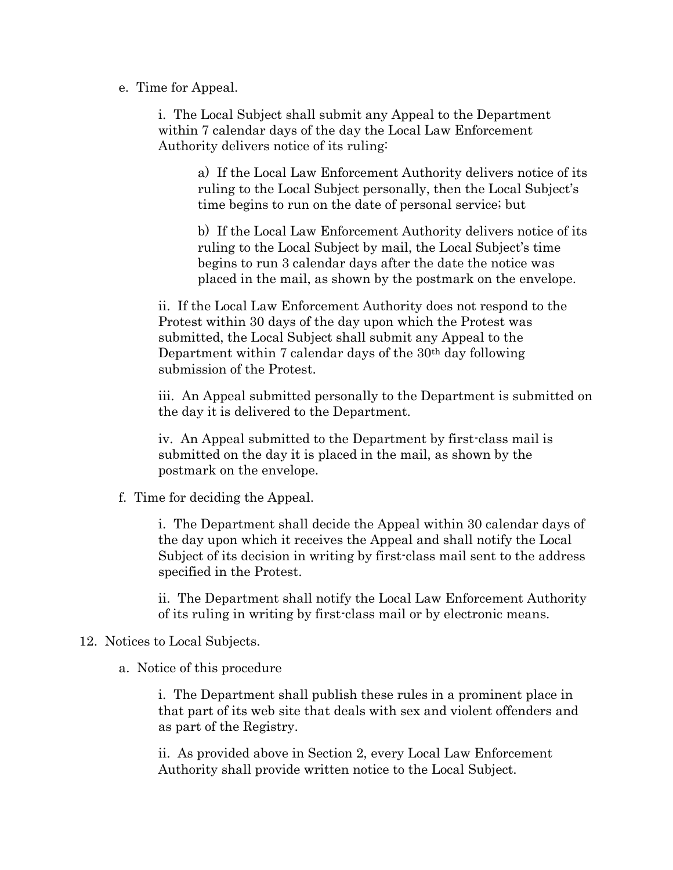e. Time for Appeal.

i. The Local Subject shall submit any Appeal to the Department within 7 calendar days of the day the Local Law Enforcement Authority delivers notice of its ruling:

a) If the Local Law Enforcement Authority delivers notice of its ruling to the Local Subject personally, then the Local Subject's time begins to run on the date of personal service; but

b) If the Local Law Enforcement Authority delivers notice of its ruling to the Local Subject by mail, the Local Subject's time begins to run 3 calendar days after the date the notice was placed in the mail, as shown by the postmark on the envelope.

ii. If the Local Law Enforcement Authority does not respond to the Protest within 30 days of the day upon which the Protest was submitted, the Local Subject shall submit any Appeal to the Department within 7 calendar days of the 30th day following submission of the Protest.

iii. An Appeal submitted personally to the Department is submitted on the day it is delivered to the Department.

iv. An Appeal submitted to the Department by first-class mail is submitted on the day it is placed in the mail, as shown by the postmark on the envelope.

f. Time for deciding the Appeal.

i. The Department shall decide the Appeal within 30 calendar days of the day upon which it receives the Appeal and shall notify the Local Subject of its decision in writing by first-class mail sent to the address specified in the Protest.

ii. The Department shall notify the Local Law Enforcement Authority of its ruling in writing by first-class mail or by electronic means.

#### 12. Notices to Local Subjects.

a. Notice of this procedure

i. The Department shall publish these rules in a prominent place in that part of its web site that deals with sex and violent offenders and as part of the Registry.

ii. As provided above in Section 2, every Local Law Enforcement Authority shall provide written notice to the Local Subject.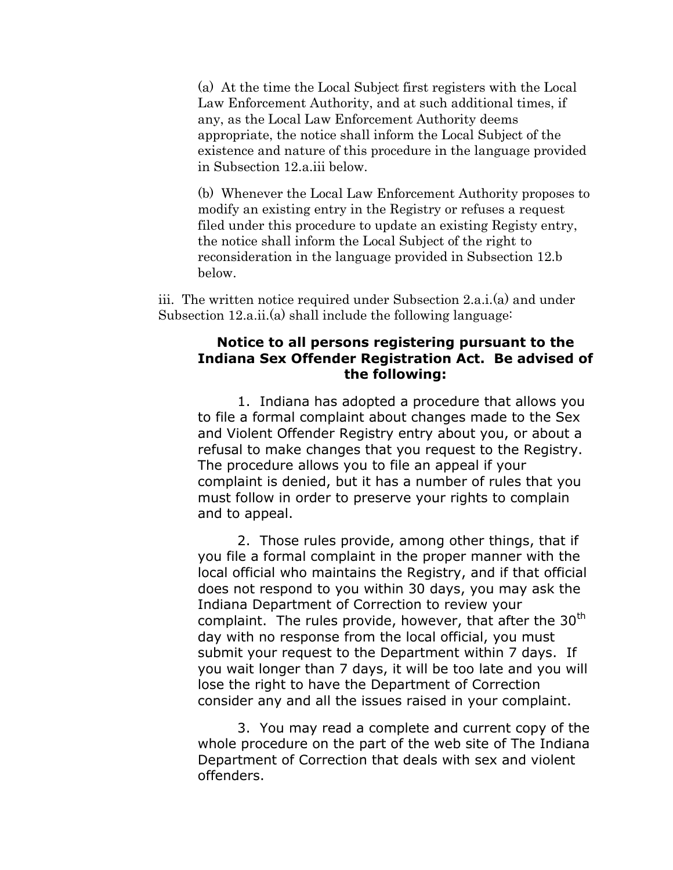(a) At the time the Local Subject first registers with the Local Law Enforcement Authority, and at such additional times, if any, as the Local Law Enforcement Authority deems appropriate, the notice shall inform the Local Subject of the existence and nature of this procedure in the language provided in Subsection 12.a.iii below.

(b) Whenever the Local Law Enforcement Authority proposes to modify an existing entry in the Registry or refuses a request filed under this procedure to update an existing Registy entry, the notice shall inform the Local Subject of the right to reconsideration in the language provided in Subsection 12.b below.

iii. The written notice required under Subsection 2.a.i.(a) and under Subsection 12.a.ii.(a) shall include the following language:

#### **Notice to all persons registering pursuant to the Indiana Sex Offender Registration Act. Be advised of the following:**

1. Indiana has adopted a procedure that allows you to file a formal complaint about changes made to the Sex and Violent Offender Registry entry about you, or about a refusal to make changes that you request to the Registry. The procedure allows you to file an appeal if your complaint is denied, but it has a number of rules that you must follow in order to preserve your rights to complain and to appeal.

2. Those rules provide, among other things, that if you file a formal complaint in the proper manner with the local official who maintains the Registry, and if that official does not respond to you within 30 days, you may ask the Indiana Department of Correction to review your complaint. The rules provide, however, that after the 30<sup>th</sup> day with no response from the local official, you must submit your request to the Department within 7 days. If you wait longer than 7 days, it will be too late and you will lose the right to have the Department of Correction consider any and all the issues raised in your complaint.

3. You may read a complete and current copy of the whole procedure on the part of the web site of The Indiana Department of Correction that deals with sex and violent offenders.